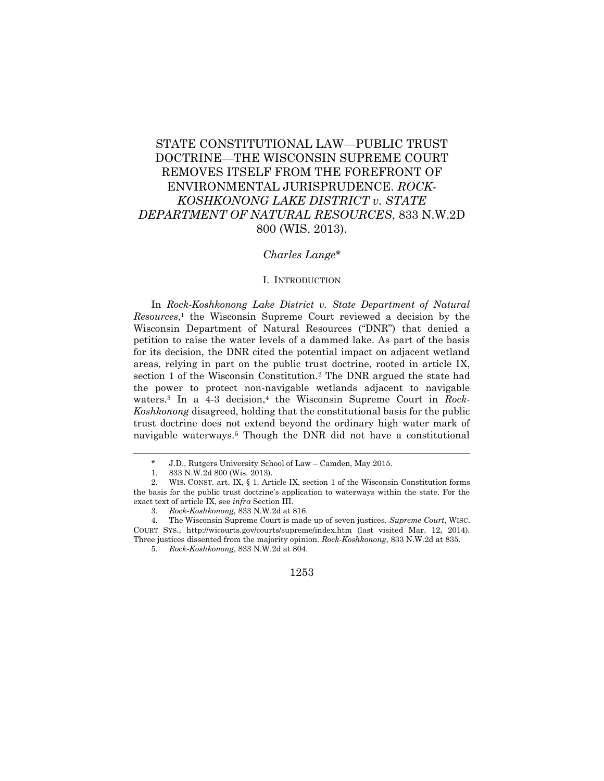# STATE CONSTITUTIONAL LAW—PUBLIC TRUST DOCTRINE—THE WISCONSIN SUPREME COURT REMOVES ITSELF FROM THE FOREFRONT OF ENVIRONMENTAL JURISPRUDENCE. *ROCK-KOSHKONONG LAKE DISTRICT v. STATE DEPARTMENT OF NATURAL RESOURCES*, 833 N.W.2D 800 (WIS. 2013).

# *Charles Lange*\*

## I. INTRODUCTION

In *Rock-Koshkonong Lake District v. State Department of Natural Resources*, <sup>1</sup> the Wisconsin Supreme Court reviewed a decision by the Wisconsin Department of Natural Resources ("DNR") that denied a petition to raise the water levels of a dammed lake. As part of the basis for its decision, the DNR cited the potential impact on adjacent wetland areas, relying in part on the public trust doctrine, rooted in article IX, section 1 of the Wisconsin Constitution.<sup>2</sup> The DNR argued the state had the power to protect non-navigable wetlands adjacent to navigable waters.<sup>3</sup> In a 4-3 decision,<sup>4</sup> the Wisconsin Supreme Court in *Rock*-*Koshkonong* disagreed, holding that the constitutional basis for the public trust doctrine does not extend beyond the ordinary high water mark of navigable waterways.<sup>5</sup> Though the DNR did not have a constitutional

<sup>\*</sup> J.D., Rutgers University School of Law – Camden, May 2015.

<sup>1.</sup> 833 N.W.2d 800 (Wis. 2013).

<sup>2.</sup> WIS. CONST. art. IX, § 1. Article IX, section 1 of the Wisconsin Constitution forms the basis for the public trust doctrine's application to waterways within the state. For the exact text of article IX, see *infra* Section III.

<sup>3.</sup> *Rock-Koshkonong*, 833 N.W.2d at 816.

<sup>4.</sup> The Wisconsin Supreme Court is made up of seven justices. *Supreme Court*, WISC. COURT SYS., http://wicourts.gov/courts/supreme/index.htm (last visited Mar. 12, 2014). Three justices dissented from the majority opinion. *Rock-Koshkonong*, 833 N.W.2d at 835.

<sup>5.</sup> *Rock-Koshkonong*, 833 N.W.2d at 804.

<sup>1253</sup>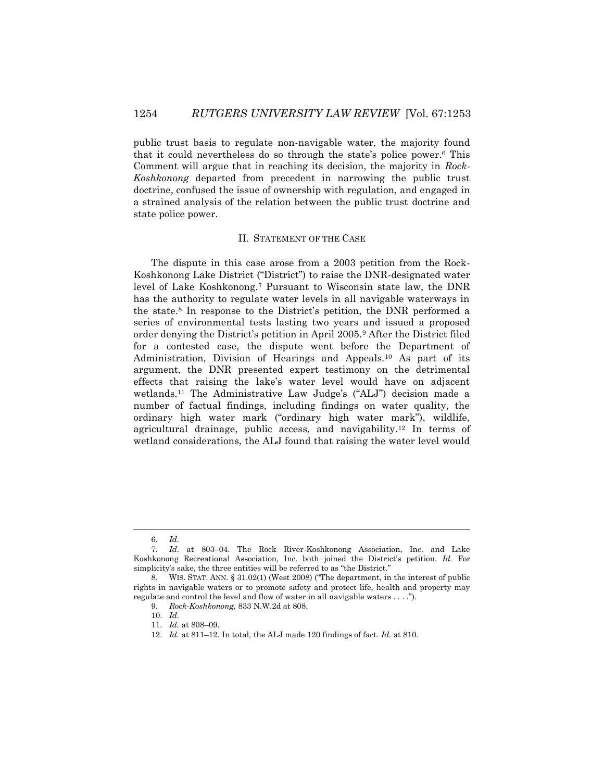public trust basis to regulate non-navigable water, the majority found that it could nevertheless do so through the state's police power.<sup>6</sup> This Comment will argue that in reaching its decision, the majority in *Rock-Koshkonong* departed from precedent in narrowing the public trust doctrine, confused the issue of ownership with regulation, and engaged in a strained analysis of the relation between the public trust doctrine and state police power.

# II. STATEMENT OF THE CASE

The dispute in this case arose from a 2003 petition from the Rock-Koshkonong Lake District ("District") to raise the DNR-designated water level of Lake Koshkonong.<sup>7</sup> Pursuant to Wisconsin state law, the DNR has the authority to regulate water levels in all navigable waterways in the state.<sup>8</sup> In response to the District's petition, the DNR performed a series of environmental tests lasting two years and issued a proposed order denying the District's petition in April 2005.<sup>9</sup> After the District filed for a contested case, the dispute went before the Department of Administration, Division of Hearings and Appeals.<sup>10</sup> As part of its argument, the DNR presented expert testimony on the detrimental effects that raising the lake's water level would have on adjacent wetlands.<sup>11</sup> The Administrative Law Judge's ("ALJ") decision made a number of factual findings, including findings on water quality, the ordinary high water mark ("ordinary high water mark"), wildlife, agricultural drainage, public access, and navigability.<sup>12</sup> In terms of wetland considerations, the ALJ found that raising the water level would

<sup>6.</sup> *Id.*

<sup>7.</sup> *Id.* at 803–04. The Rock River-Koshkonong Association, Inc. and Lake Koshkonong Recreational Association, Inc. both joined the District's petition. *Id.* For simplicity's sake, the three entities will be referred to as "the District."

<sup>8.</sup> WIS. STAT. ANN. § 31.02(1) (West 2008) ("The department, in the interest of public rights in navigable waters or to promote safety and protect life, health and property may regulate and control the level and flow of water in all navigable waters . . . .").

<sup>9.</sup> *Rock-Koshkonong*, 833 N.W.2d at 808.

<sup>10.</sup> *Id.*

<sup>11.</sup> *Id.* at 808–09.

<sup>12.</sup> *Id.* at 811–12. In total, the ALJ made 120 findings of fact. *Id.* at 810.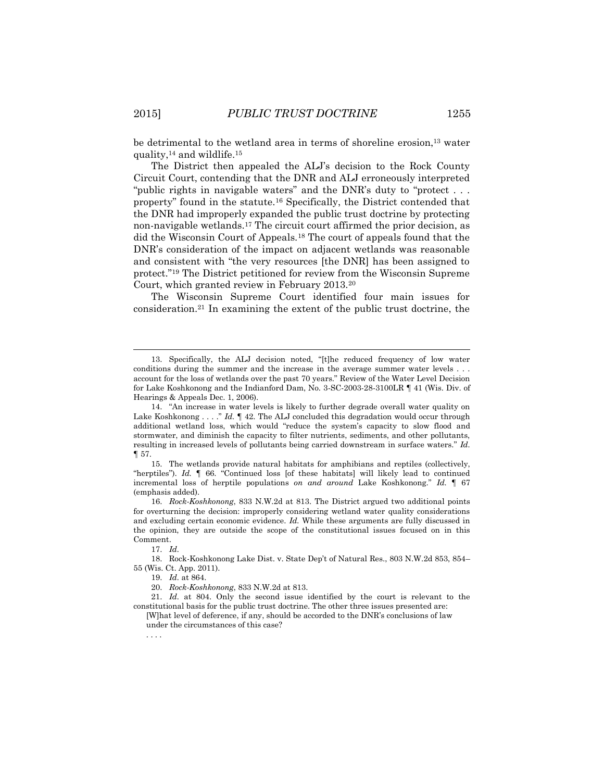be detrimental to the wetland area in terms of shoreline erosion,<sup>13</sup> water quality, $14$  and wildlife. $15$ 

The District then appealed the ALJ's decision to the Rock County Circuit Court, contending that the DNR and ALJ erroneously interpreted "public rights in navigable waters" and the DNR's duty to "protect . . . property" found in the statute.<sup>16</sup> Specifically, the District contended that the DNR had improperly expanded the public trust doctrine by protecting non-navigable wetlands.<sup>17</sup> The circuit court affirmed the prior decision, as did the Wisconsin Court of Appeals.<sup>18</sup> The court of appeals found that the DNR's consideration of the impact on adjacent wetlands was reasonable and consistent with "the very resources [the DNR] has been assigned to protect." <sup>19</sup> The District petitioned for review from the Wisconsin Supreme Court, which granted review in February 2013.<sup>20</sup>

The Wisconsin Supreme Court identified four main issues for consideration.<sup>21</sup> In examining the extent of the public trust doctrine, the

19. *Id.* at 864.

. . . .

l

<sup>13.</sup> Specifically, the ALJ decision noted, "[t]he reduced frequency of low water conditions during the summer and the increase in the average summer water levels . . . account for the loss of wetlands over the past 70 years." Review of the Water Level Decision for Lake Koshkonong and the Indianford Dam, No. 3-SC-2003-28-3100LR ¶ 41 (Wis. Div. of Hearings & Appeals Dec. 1, 2006).

<sup>14.</sup> "An increase in water levels is likely to further degrade overall water quality on Lake Koshkonong . . . . " *Id.*  $\P$  42. The ALJ concluded this degradation would occur through additional wetland loss, which would "reduce the system's capacity to slow flood and stormwater, and diminish the capacity to filter nutrients, sediments, and other pollutants, resulting in increased levels of pollutants being carried downstream in surface waters." *Id.* ¶ 57.

<sup>15.</sup> The wetlands provide natural habitats for amphibians and reptiles (collectively, "herptiles"). *Id.* ¶ 66. "Continued loss [of these habitats] will likely lead to continued incremental loss of herptile populations *on and around* Lake Koshkonong." *Id.* ¶ 67 (emphasis added).

<sup>16.</sup> *Rock-Koshkonong*, 833 N.W.2d at 813. The District argued two additional points for overturning the decision: improperly considering wetland water quality considerations and excluding certain economic evidence. *Id.* While these arguments are fully discussed in the opinion, they are outside the scope of the constitutional issues focused on in this Comment.

<sup>17.</sup> *Id.*

<sup>18.</sup> Rock-Koshkonong Lake Dist. v. State Dep't of Natural Res., 803 N.W.2d 853, 854– 55 (Wis. Ct. App. 2011).

<sup>20.</sup> *Rock-Koshkonong*, 833 N.W.2d at 813.

<sup>21.</sup> *Id.* at 804. Only the second issue identified by the court is relevant to the constitutional basis for the public trust doctrine. The other three issues presented are:

<sup>[</sup>W]hat level of deference, if any, should be accorded to the DNR's conclusions of law under the circumstances of this case?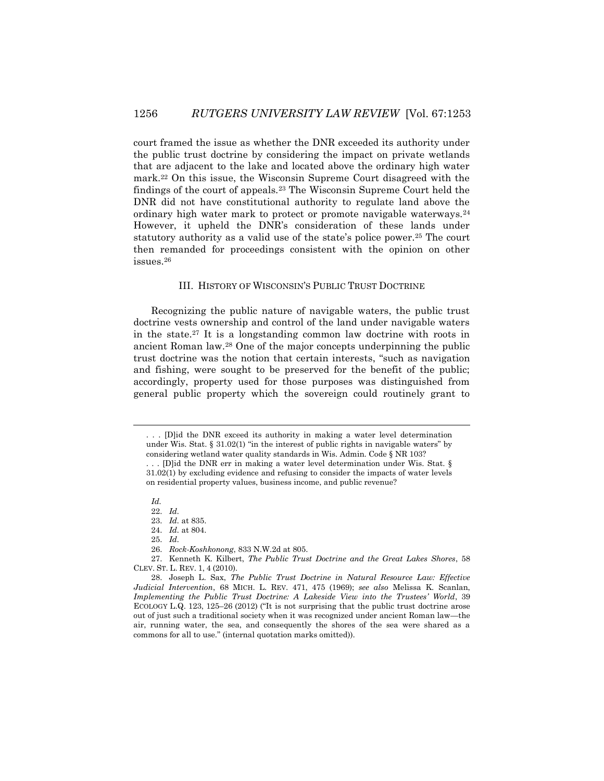court framed the issue as whether the DNR exceeded its authority under the public trust doctrine by considering the impact on private wetlands that are adjacent to the lake and located above the ordinary high water mark.<sup>22</sup> On this issue, the Wisconsin Supreme Court disagreed with the findings of the court of appeals.<sup>23</sup> The Wisconsin Supreme Court held the DNR did not have constitutional authority to regulate land above the ordinary high water mark to protect or promote navigable waterways.<sup>24</sup> However, it upheld the DNR's consideration of these lands under statutory authority as a valid use of the state's police power.<sup>25</sup> The court then remanded for proceedings consistent with the opinion on other issues.<sup>26</sup>

#### III. HISTORY OF WISCONSIN'S PUBLIC TRUST DOCTRINE

Recognizing the public nature of navigable waters, the public trust doctrine vests ownership and control of the land under navigable waters in the state.<sup>27</sup> It is a longstanding common law doctrine with roots in ancient Roman law.<sup>28</sup> One of the major concepts underpinning the public trust doctrine was the notion that certain interests, "such as navigation and fishing, were sought to be preserved for the benefit of the public; accordingly, property used for those purposes was distinguished from general public property which the sovereign could routinely grant to

*Id.*

<sup>. . . [</sup>D]id the DNR exceed its authority in making a water level determination under Wis. Stat. § 31.02(1) "in the interest of public rights in navigable waters" by considering wetland water quality standards in Wis. Admin. Code § NR 103?

<sup>. . . [</sup>D]id the DNR err in making a water level determination under Wis. Stat. § 31.02(1) by excluding evidence and refusing to consider the impacts of water levels on residential property values, business income, and public revenue?

<sup>22.</sup> *Id.*

<sup>23.</sup> *Id.* at 835.

<sup>24.</sup> *Id.* at 804.

<sup>25.</sup> *Id.*

<sup>26.</sup> *Rock-Koshkonong*, 833 N.W.2d at 805.

<sup>27.</sup> Kenneth K. Kilbert, *The Public Trust Doctrine and the Great Lakes Shores*, 58 CLEV. ST. L. REV. 1, 4 (2010).

<sup>28.</sup> Joseph L. Sax, *The Public Trust Doctrine in Natural Resource Law: Effective Judicial Intervention*, 68 MICH. L. REV. 471, 475 (1969); *see also* Melissa K. Scanlan, *Implementing the Public Trust Doctrine: A Lakeside View into the Trustees' World*, 39 ECOLOGY L.Q. 123, 125–26 (2012) ("It is not surprising that the public trust doctrine arose out of just such a traditional society when it was recognized under ancient Roman law—the air, running water, the sea, and consequently the shores of the sea were shared as a commons for all to use." (internal quotation marks omitted)).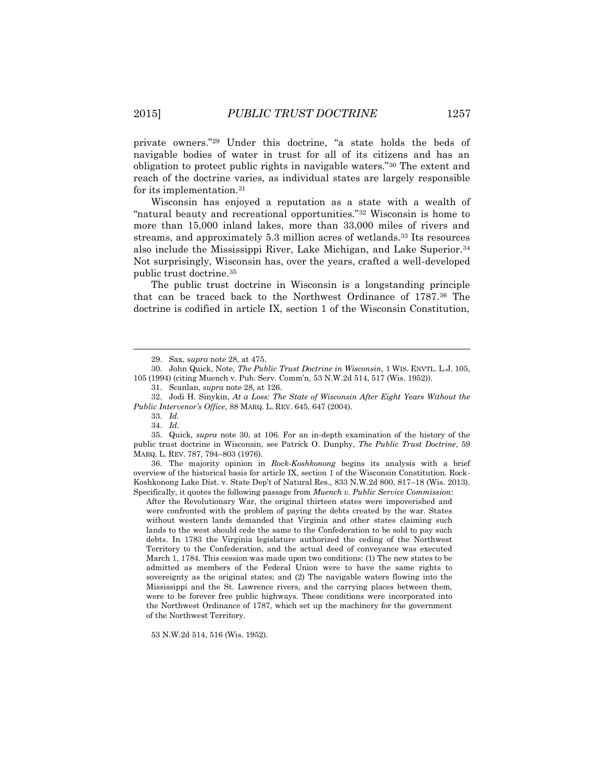private owners."<sup>29</sup> Under this doctrine, "a state holds the beds of navigable bodies of water in trust for all of its citizens and has an obligation to protect public rights in navigable waters."<sup>30</sup> The extent and reach of the doctrine varies, as individual states are largely responsible for its implementation.<sup>31</sup>

Wisconsin has enjoyed a reputation as a state with a wealth of "natural beauty and recreational opportunities."<sup>32</sup> Wisconsin is home to more than 15,000 inland lakes, more than 33,000 miles of rivers and streams, and approximately 5.3 million acres of wetlands.<sup>33</sup> Its resources also include the Mississippi River, Lake Michigan, and Lake Superior.<sup>34</sup> Not surprisingly, Wisconsin has, over the years, crafted a well-developed public trust doctrine.<sup>35</sup>

The public trust doctrine in Wisconsin is a longstanding principle that can be traced back to the Northwest Ordinance of 1787. <sup>36</sup> The doctrine is codified in article IX, section 1 of the Wisconsin Constitution,

 $\overline{a}$ 

36. The majority opinion in *Rock-Koshkonong* begins its analysis with a brief overview of the historical basis for article IX, section 1 of the Wisconsin Constitution. Rock-Koshkonong Lake Dist. v. State Dep't of Natural Res., 833 N.W.2d 800, 817–18 (Wis. 2013). Specifically, it quotes the following passage from *Muench v. Public Service Commission*:

After the Revolutionary War, the original thirteen states were impoverished and were confronted with the problem of paying the debts created by the war. States without western lands demanded that Virginia and other states claiming such lands to the west should cede the same to the Confederation to be sold to pay such debts. In 1783 the Virginia legislature authorized the ceding of the Northwest Territory to the Confederation, and the actual deed of conveyance was executed March 1, 1784. This cession was made upon two conditions: (1) The new states to be admitted as members of the Federal Union were to have the same rights to sovereignty as the original states; and (2) The navigable waters flowing into the Mississippi and the St. Lawrence rivers, and the carrying places between them, were to be forever free public highways. These conditions were incorporated into the Northwest Ordinance of 1787, which set up the machinery for the government of the Northwest Territory.

53 N.W.2d 514, 516 (Wis. 1952).

<sup>29.</sup> Sax, s*upra* note 28, at 475.

<sup>30.</sup> John Quick, Note, *The Public Trust Doctrine in Wisconsin*, 1 WIS. ENVTL. L.J. 105, 105 (1994) (citing Muench v. Pub. Serv. Comm'n, 53 N.W.2d 514, 517 (Wis. 1952)).

<sup>31.</sup> Scanlan, *supra* note 28, at 126.

<sup>32.</sup> Jodi H. Sinykin, *At a Loss: The State of Wisconsin After Eight Years Without the Public Intervenor's Office*, 88 MARQ. L. REV. 645, 647 (2004).

<sup>33.</sup> *Id.*

<sup>34.</sup> *Id.*

<sup>35.</sup> Quick, *supra* note 30, at 106. For an in-depth examination of the history of the public trust doctrine in Wisconsin, see Patrick O. Dunphy, *The Public Trust Doctrine*, 59 MARQ. L. REV. 787, 794–803 (1976).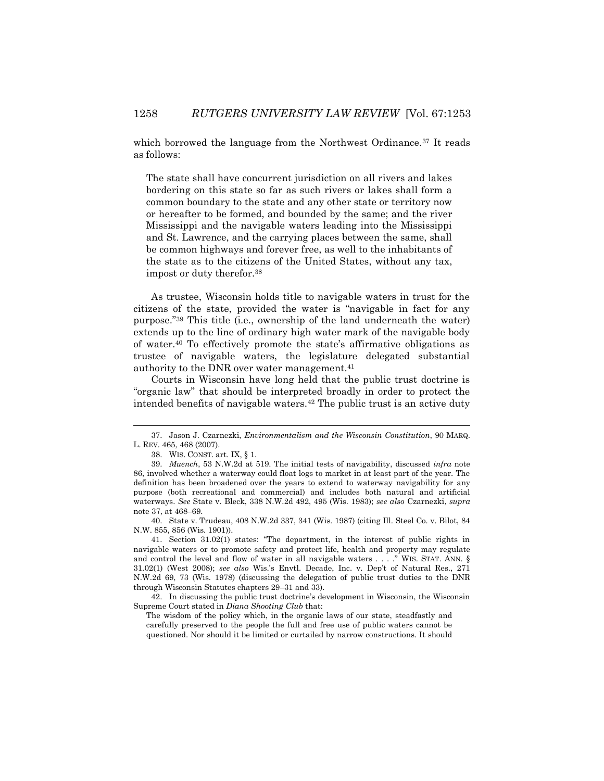which borrowed the language from the Northwest Ordinance.<sup>37</sup> It reads as follows:

The state shall have concurrent jurisdiction on all rivers and lakes bordering on this state so far as such rivers or lakes shall form a common boundary to the state and any other state or territory now or hereafter to be formed, and bounded by the same; and the river Mississippi and the navigable waters leading into the Mississippi and St. Lawrence, and the carrying places between the same, shall be common highways and forever free, as well to the inhabitants of the state as to the citizens of the United States, without any tax, impost or duty therefor.<sup>38</sup>

As trustee, Wisconsin holds title to navigable waters in trust for the citizens of the state, provided the water is "navigable in fact for any purpose."<sup>39</sup> This title (i.e., ownership of the land underneath the water) extends up to the line of ordinary high water mark of the navigable body of water.<sup>40</sup> To effectively promote the state's affirmative obligations as trustee of navigable waters, the legislature delegated substantial authority to the DNR over water management.<sup>41</sup>

Courts in Wisconsin have long held that the public trust doctrine is "organic law" that should be interpreted broadly in order to protect the intended benefits of navigable waters.<sup>42</sup> The public trust is an active duty

 $\overline{a}$ 

40. State v. Trudeau, 408 N.W.2d 337, 341 (Wis. 1987) (citing Ill. Steel Co. v. Bilot, 84 N.W. 855, 856 (Wis. 1901)).

41. Section 31.02(1) states: "The department, in the interest of public rights in navigable waters or to promote safety and protect life, health and property may regulate and control the level and flow of water in all navigable waters  $\dots$  ." WIS. STAT. ANN. § 31.02(1) (West 2008); *see also* Wis.'s Envtl. Decade, Inc. v. Dep't of Natural Res., 271 N.W.2d 69, 73 (Wis. 1978) (discussing the delegation of public trust duties to the DNR through Wisconsin Statutes chapters 29–31 and 33).

42. In discussing the public trust doctrine's development in Wisconsin, the Wisconsin Supreme Court stated in *Diana Shooting Club* that:

The wisdom of the policy which, in the organic laws of our state, steadfastly and carefully preserved to the people the full and free use of public waters cannot be questioned. Nor should it be limited or curtailed by narrow constructions. It should

<sup>37.</sup> Jason J. Czarnezki, *Environmentalism and the Wisconsin Constitution*, 90 MARQ. L. REV. 465, 468 (2007).

<sup>38.</sup> WIS. CONST. art. IX, § 1.

<sup>39.</sup> *Muench*, 53 N.W.2d at 519. The initial tests of navigability, discussed *infra* note 86, involved whether a waterway could float logs to market in at least part of the year. The definition has been broadened over the years to extend to waterway navigability for any purpose (both recreational and commercial) and includes both natural and artificial waterways. *See* State v. Bleck, 338 N.W.2d 492, 495 (Wis. 1983); *see also* Czarnezki, *supra*  note 37, at 468–69.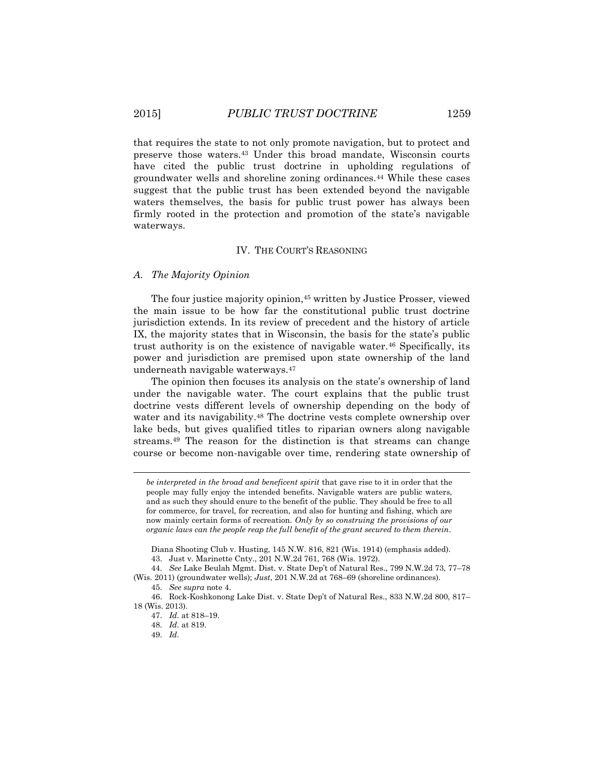that requires the state to not only promote navigation, but to protect and preserve those waters.<sup>43</sup> Under this broad mandate, Wisconsin courts have cited the public trust doctrine in upholding regulations of groundwater wells and shoreline zoning ordinances.<sup>44</sup> While these cases suggest that the public trust has been extended beyond the navigable waters themselves, the basis for public trust power has always been firmly rooted in the protection and promotion of the state's navigable waterways.

# IV. THE COURT'S REASONING

# *A. The Majority Opinion*

The four justice majority opinion,<sup>45</sup> written by Justice Prosser, viewed the main issue to be how far the constitutional public trust doctrine jurisdiction extends. In its review of precedent and the history of article IX, the majority states that in Wisconsin, the basis for the state's public trust authority is on the existence of navigable water.<sup>46</sup> Specifically, its power and jurisdiction are premised upon state ownership of the land underneath navigable waterways.<sup>47</sup>

The opinion then focuses its analysis on the state's ownership of land under the navigable water. The court explains that the public trust doctrine vests different levels of ownership depending on the body of water and its navigability.<sup>48</sup> The doctrine vests complete ownership over lake beds, but gives qualified titles to riparian owners along navigable streams.<sup>49</sup> The reason for the distinction is that streams can change course or become non-navigable over time, rendering state ownership of

(Wis. 2011) (groundwater wells); *Just*, 201 N.W.2d at 768–69 (shoreline ordinances).

*be interpreted in the broad and beneficent spirit* that gave rise to it in order that the people may fully enjoy the intended benefits. Navigable waters are public waters, and as such they should enure to the benefit of the public. They should be free to all for commerce, for travel, for recreation, and also for hunting and fishing, which are now mainly certain forms of recreation. *Only by so construing the provisions of our organic laws can the people reap the full benefit of the grant secured to them therein*.

Diana Shooting Club v. Husting, 145 N.W. 816, 821 (Wis. 1914) (emphasis added).

<sup>43.</sup> Just v. Marinette Cnty., 201 N.W.2d 761, 768 (Wis. 1972).

<sup>44.</sup> *See* Lake Beulah Mgmt. Dist. v. State Dep't of Natural Res., 799 N.W.2d 73, 77–78

<sup>45.</sup> *See supra* note 4.

<sup>46.</sup> Rock-Koshkonong Lake Dist. v. State Dep't of Natural Res., 833 N.W.2d 800, 817– 18 (Wis. 2013).

<sup>47.</sup> *Id.* at 818–19.

<sup>48.</sup> *Id.* at 819.

<sup>49.</sup> *Id.*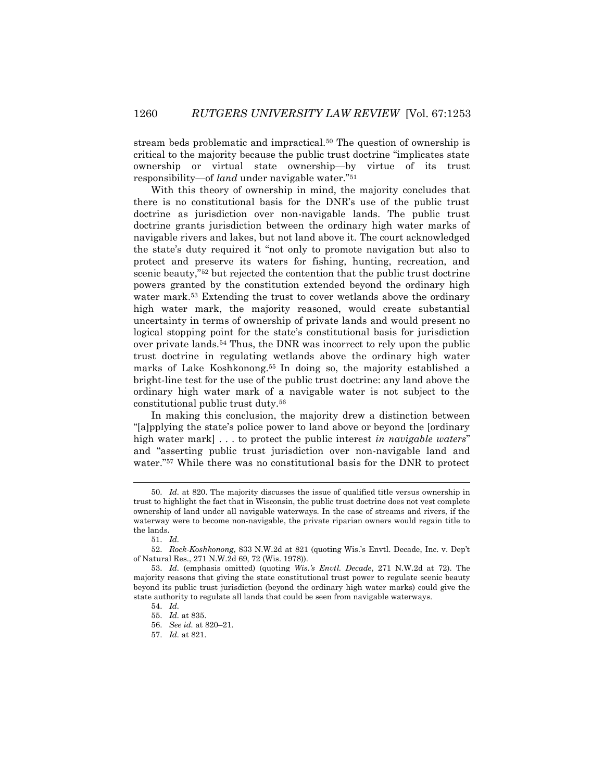stream beds problematic and impractical.<sup>50</sup> The question of ownership is critical to the majority because the public trust doctrine "implicates state ownership or virtual state ownership—by virtue of its trust responsibility—of *land* under navigable water."<sup>51</sup>

With this theory of ownership in mind, the majority concludes that there is no constitutional basis for the DNR's use of the public trust doctrine as jurisdiction over non-navigable lands. The public trust doctrine grants jurisdiction between the ordinary high water marks of navigable rivers and lakes, but not land above it. The court acknowledged the state's duty required it "not only to promote navigation but also to protect and preserve its waters for fishing, hunting, recreation, and scenic beauty,"<sup>52</sup> but rejected the contention that the public trust doctrine powers granted by the constitution extended beyond the ordinary high water mark.<sup>53</sup> Extending the trust to cover wetlands above the ordinary high water mark, the majority reasoned, would create substantial uncertainty in terms of ownership of private lands and would present no logical stopping point for the state's constitutional basis for jurisdiction over private lands.<sup>54</sup> Thus, the DNR was incorrect to rely upon the public trust doctrine in regulating wetlands above the ordinary high water marks of Lake Koshkonong.<sup>55</sup> In doing so, the majority established a bright-line test for the use of the public trust doctrine: any land above the ordinary high water mark of a navigable water is not subject to the constitutional public trust duty.<sup>56</sup>

In making this conclusion, the majority drew a distinction between "[a]pplying the state's police power to land above or beyond the [ordinary high water mark] . . . to protect the public interest *in navigable waters*" and "asserting public trust jurisdiction over non-navigable land and water."<sup>57</sup> While there was no constitutional basis for the DNR to protect

<sup>50.</sup> *Id.* at 820. The majority discusses the issue of qualified title versus ownership in trust to highlight the fact that in Wisconsin, the public trust doctrine does not vest complete ownership of land under all navigable waterways. In the case of streams and rivers, if the waterway were to become non-navigable, the private riparian owners would regain title to the lands.

<sup>51.</sup> *Id.*

<sup>52.</sup> *Rock-Koshkonong*, 833 N.W.2d at 821 (quoting Wis.'s Envtl. Decade, Inc. v. Dep't of Natural Res., 271 N.W.2d 69, 72 (Wis. 1978)).

<sup>53.</sup> *Id.* (emphasis omitted) (quoting *Wis.'s Envtl. Decade*, 271 N.W.2d at 72). The majority reasons that giving the state constitutional trust power to regulate scenic beauty beyond its public trust jurisdiction (beyond the ordinary high water marks) could give the state authority to regulate all lands that could be seen from navigable waterways.

<sup>54.</sup> *Id.* 55. *Id.* at 835.

<sup>56.</sup> *See id.* at 820–21.

<sup>57.</sup> *Id.* at 821.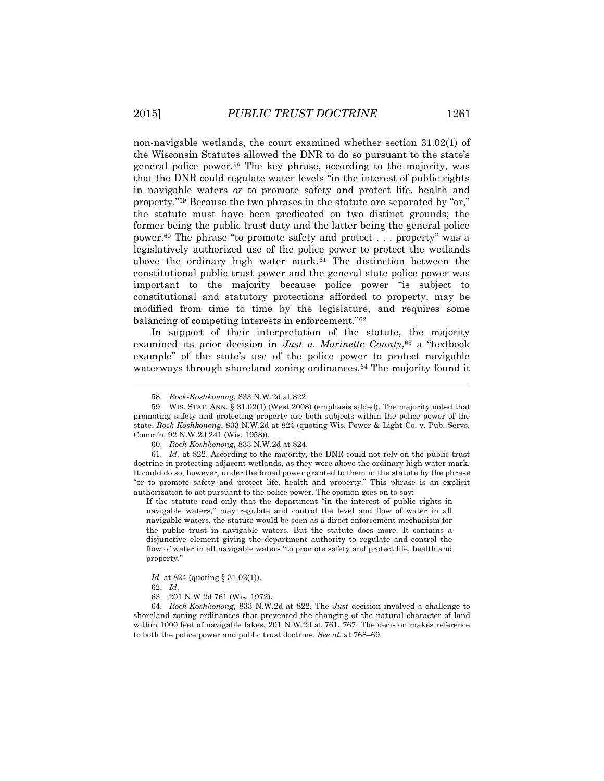non-navigable wetlands, the court examined whether section 31.02(1) of the Wisconsin Statutes allowed the DNR to do so pursuant to the state's general police power.<sup>58</sup> The key phrase, according to the majority, was that the DNR could regulate water levels "in the interest of public rights in navigable waters *or* to promote safety and protect life, health and property."<sup>59</sup> Because the two phrases in the statute are separated by "or," the statute must have been predicated on two distinct grounds; the former being the public trust duty and the latter being the general police power.<sup>60</sup> The phrase "to promote safety and protect . . . property" was a legislatively authorized use of the police power to protect the wetlands above the ordinary high water mark.<sup>61</sup> The distinction between the constitutional public trust power and the general state police power was important to the majority because police power "is subject to constitutional and statutory protections afforded to property, may be modified from time to time by the legislature, and requires some balancing of competing interests in enforcement."<sup>62</sup>

In support of their interpretation of the statute, the majority examined its prior decision in *Just v. Marinette County*, <sup>63</sup> a "textbook example" of the state's use of the police power to protect navigable waterways through shoreland zoning ordinances.<sup>64</sup> The majority found it

If the statute read only that the department "in the interest of public rights in navigable waters," may regulate and control the level and flow of water in all navigable waters, the statute would be seen as a direct enforcement mechanism for the public trust in navigable waters. But the statute does more. It contains a disjunctive element giving the department authority to regulate and control the flow of water in all navigable waters "to promote safety and protect life, health and property."

64. *Rock-Koshkonong*, 833 N.W.2d at 822. The *Just* decision involved a challenge to shoreland zoning ordinances that prevented the changing of the natural character of land within 1000 feet of navigable lakes. 201 N.W.2d at 761, 767. The decision makes reference to both the police power and public trust doctrine. *See id.* at 768–69.

<sup>58.</sup> *Rock-Koshkonong*, 833 N.W.2d at 822.

<sup>59.</sup> WIS. STAT. ANN. § 31.02(1) (West 2008) (emphasis added). The majority noted that promoting safety and protecting property are both subjects within the police power of the state. *Rock-Koshkonong*, 833 N.W.2d at 824 (quoting Wis. Power & Light Co. v. Pub. Servs. Comm'n, 92 N.W.2d 241 (Wis. 1958)).

<sup>60.</sup> *Rock-Koshkonong*, 833 N.W.2d at 824.

<sup>61.</sup> *Id.* at 822. According to the majority, the DNR could not rely on the public trust doctrine in protecting adjacent wetlands, as they were above the ordinary high water mark. It could do so, however, under the broad power granted to them in the statute by the phrase "or to promote safety and protect life, health and property." This phrase is an explicit authorization to act pursuant to the police power. The opinion goes on to say:

*Id.* at 824 (quoting § 31.02(1)).

<sup>62.</sup> *Id.*

<sup>63.</sup> 201 N.W.2d 761 (Wis. 1972).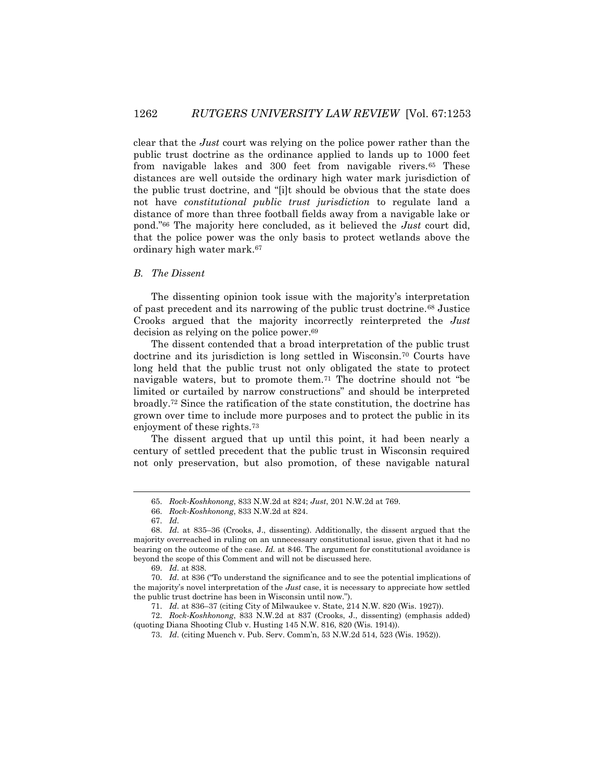clear that the *Just* court was relying on the police power rather than the public trust doctrine as the ordinance applied to lands up to 1000 feet from navigable lakes and 300 feet from navigable rivers.<sup>65</sup> These distances are well outside the ordinary high water mark jurisdiction of the public trust doctrine, and "[i]t should be obvious that the state does not have *constitutional public trust jurisdiction* to regulate land a distance of more than three football fields away from a navigable lake or pond."<sup>66</sup> The majority here concluded, as it believed the *Just* court did, that the police power was the only basis to protect wetlands above the ordinary high water mark.<sup>67</sup>

# *B. The Dissent*

The dissenting opinion took issue with the majority's interpretation of past precedent and its narrowing of the public trust doctrine.<sup>68</sup> Justice Crooks argued that the majority incorrectly reinterpreted the *Just* decision as relying on the police power. 69

The dissent contended that a broad interpretation of the public trust doctrine and its jurisdiction is long settled in Wisconsin.<sup>70</sup> Courts have long held that the public trust not only obligated the state to protect navigable waters, but to promote them.<sup>71</sup> The doctrine should not "be limited or curtailed by narrow constructions" and should be interpreted broadly.<sup>72</sup> Since the ratification of the state constitution, the doctrine has grown over time to include more purposes and to protect the public in its enjoyment of these rights.<sup>73</sup>

The dissent argued that up until this point, it had been nearly a century of settled precedent that the public trust in Wisconsin required not only preservation, but also promotion, of these navigable natural

 $\overline{a}$ 

72. *Rock-Koshkonong*, 833 N.W.2d at 837 (Crooks, J., dissenting) (emphasis added) (quoting Diana Shooting Club v. Husting 145 N.W. 816, 820 (Wis. 1914)).

<sup>65.</sup> *Rock-Koshkonong*, 833 N.W.2d at 824; *Just*, 201 N.W.2d at 769.

<sup>66.</sup> *Rock-Koshkonong*, 833 N.W.2d at 824.

<sup>67.</sup> *Id.*

<sup>68.</sup> *Id.* at 835–36 (Crooks, J., dissenting). Additionally, the dissent argued that the majority overreached in ruling on an unnecessary constitutional issue, given that it had no bearing on the outcome of the case. *Id.* at 846. The argument for constitutional avoidance is beyond the scope of this Comment and will not be discussed here.

<sup>69.</sup> *Id.* at 838.

<sup>70.</sup> *Id.* at 836 ("To understand the significance and to see the potential implications of the majority's novel interpretation of the *Just* case, it is necessary to appreciate how settled the public trust doctrine has been in Wisconsin until now.").

<sup>71.</sup> *Id.* at 836–37 (citing City of Milwaukee v. State, 214 N.W. 820 (Wis. 1927)).

<sup>73.</sup> *Id.* (citing Muench v. Pub. Serv. Comm'n, 53 N.W.2d 514, 523 (Wis. 1952)).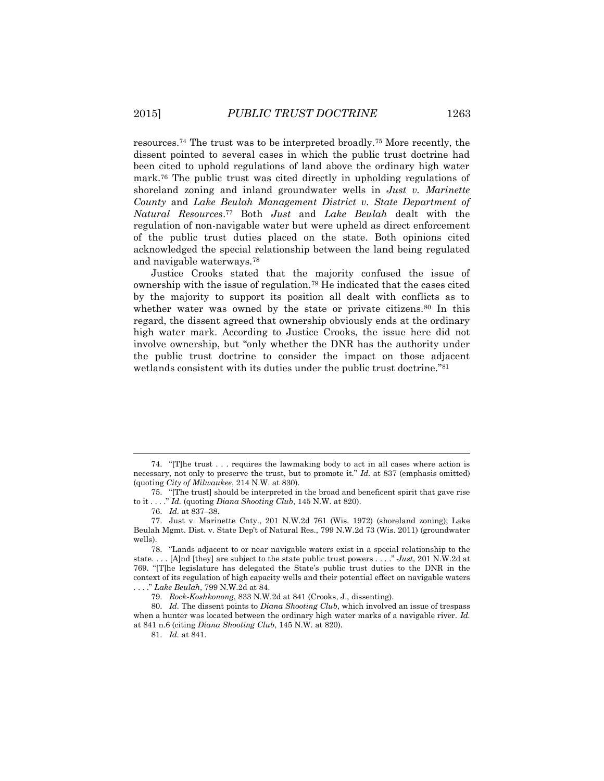resources.<sup>74</sup> The trust was to be interpreted broadly.<sup>75</sup> More recently, the dissent pointed to several cases in which the public trust doctrine had been cited to uphold regulations of land above the ordinary high water mark.<sup>76</sup> The public trust was cited directly in upholding regulations of shoreland zoning and inland groundwater wells in *Just v. Marinette County* and *Lake Beulah Management District v. State Department of Natural Resources*. <sup>77</sup> Both *Just* and *Lake Beulah* dealt with the regulation of non-navigable water but were upheld as direct enforcement of the public trust duties placed on the state. Both opinions cited acknowledged the special relationship between the land being regulated and navigable waterways.<sup>78</sup>

Justice Crooks stated that the majority confused the issue of ownership with the issue of regulation.<sup>79</sup> He indicated that the cases cited by the majority to support its position all dealt with conflicts as to whether water was owned by the state or private citizens.<sup>80</sup> In this regard, the dissent agreed that ownership obviously ends at the ordinary high water mark. According to Justice Crooks, the issue here did not involve ownership, but "only whether the DNR has the authority under the public trust doctrine to consider the impact on those adjacent wetlands consistent with its duties under the public trust doctrine."<sup>81</sup>

l

<sup>74.</sup> "[T]he trust . . . requires the lawmaking body to act in all cases where action is necessary, not only to preserve the trust, but to promote it." *Id.* at 837 (emphasis omitted) (quoting *City of Milwaukee*, 214 N.W. at 830).

<sup>75.</sup> "[The trust] should be interpreted in the broad and beneficent spirit that gave rise to it . . . ." *Id.* (quoting *Diana Shooting Club*, 145 N.W. at 820).

<sup>76.</sup> *Id.* at 837–38.

<sup>77.</sup> Just v. Marinette Cnty., 201 N.W.2d 761 (Wis. 1972) (shoreland zoning); Lake Beulah Mgmt. Dist. v. State Dep't of Natural Res., 799 N.W.2d 73 (Wis. 2011) (groundwater wells).

<sup>78.</sup> "Lands adjacent to or near navigable waters exist in a special relationship to the state. . . . [A]nd [they] are subject to the state public trust powers . . . ." *Just*, 201 N.W.2d at 769. "[T]he legislature has delegated the State's public trust duties to the DNR in the context of its regulation of high capacity wells and their potential effect on navigable waters . . . ." *Lake Beulah*, 799 N.W.2d at 84.

<sup>79.</sup> *Rock-Koshkonong*, 833 N.W.2d at 841 (Crooks, J., dissenting).

<sup>80.</sup> *Id.* The dissent points to *Diana Shooting Club*, which involved an issue of trespass when a hunter was located between the ordinary high water marks of a navigable river. *Id.* at 841 n.6 (citing *Diana Shooting Club*, 145 N.W. at 820).

<sup>81.</sup> *Id.* at 841.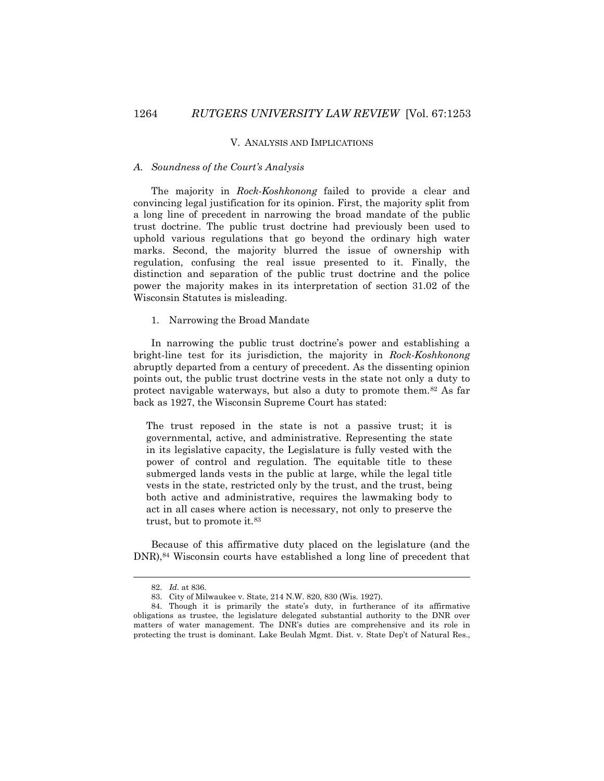#### V. ANALYSIS AND IMPLICATIONS

# *A. Soundness of the Court's Analysis*

The majority in *Rock-Koshkonong* failed to provide a clear and convincing legal justification for its opinion. First, the majority split from a long line of precedent in narrowing the broad mandate of the public trust doctrine. The public trust doctrine had previously been used to uphold various regulations that go beyond the ordinary high water marks. Second, the majority blurred the issue of ownership with regulation, confusing the real issue presented to it. Finally, the distinction and separation of the public trust doctrine and the police power the majority makes in its interpretation of section 31.02 of the Wisconsin Statutes is misleading.

# 1. Narrowing the Broad Mandate

In narrowing the public trust doctrine's power and establishing a bright-line test for its jurisdiction, the majority in *Rock-Koshkonong*  abruptly departed from a century of precedent. As the dissenting opinion points out, the public trust doctrine vests in the state not only a duty to protect navigable waterways, but also a duty to promote them.<sup>82</sup> As far back as 1927, the Wisconsin Supreme Court has stated:

The trust reposed in the state is not a passive trust; it is governmental, active, and administrative. Representing the state in its legislative capacity, the Legislature is fully vested with the power of control and regulation. The equitable title to these submerged lands vests in the public at large, while the legal title vests in the state, restricted only by the trust, and the trust, being both active and administrative, requires the lawmaking body to act in all cases where action is necessary, not only to preserve the trust, but to promote it.<sup>83</sup>

Because of this affirmative duty placed on the legislature (and the DNR),<sup>84</sup> Wisconsin courts have established a long line of precedent that

<sup>82.</sup> *Id.* at 836.

<sup>83.</sup> City of Milwaukee v. State, 214 N.W. 820, 830 (Wis. 1927).

<sup>84.</sup> Though it is primarily the state's duty, in furtherance of its affirmative obligations as trustee, the legislature delegated substantial authority to the DNR over matters of water management. The DNR's duties are comprehensive and its role in protecting the trust is dominant. Lake Beulah Mgmt. Dist. v. State Dep't of Natural Res.,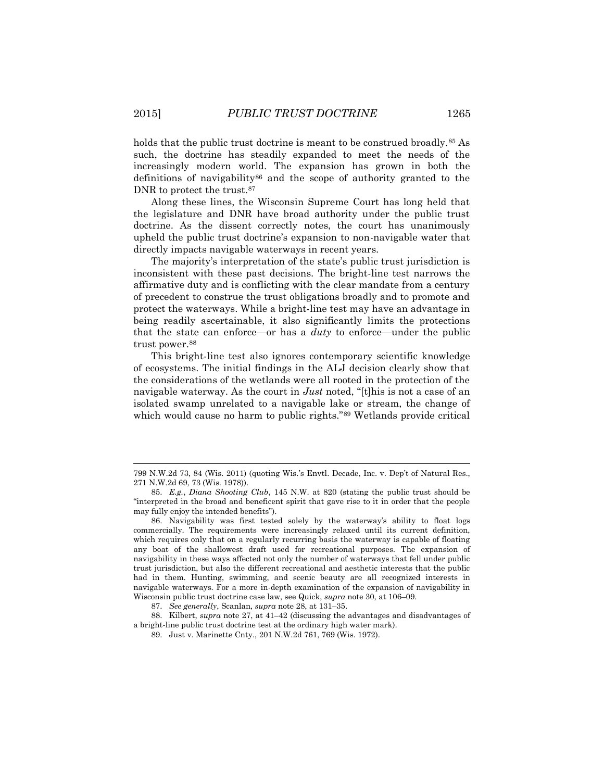holds that the public trust doctrine is meant to be construed broadly.<sup>85</sup> As such, the doctrine has steadily expanded to meet the needs of the increasingly modern world. The expansion has grown in both the definitions of navigability<sup>86</sup> and the scope of authority granted to the DNR to protect the trust.<sup>87</sup>

Along these lines, the Wisconsin Supreme Court has long held that the legislature and DNR have broad authority under the public trust doctrine. As the dissent correctly notes, the court has unanimously upheld the public trust doctrine's expansion to non-navigable water that directly impacts navigable waterways in recent years.

The majority's interpretation of the state's public trust jurisdiction is inconsistent with these past decisions. The bright-line test narrows the affirmative duty and is conflicting with the clear mandate from a century of precedent to construe the trust obligations broadly and to promote and protect the waterways. While a bright-line test may have an advantage in being readily ascertainable, it also significantly limits the protections that the state can enforce—or has a *duty* to enforce—under the public trust power.<sup>88</sup>

This bright-line test also ignores contemporary scientific knowledge of ecosystems. The initial findings in the ALJ decision clearly show that the considerations of the wetlands were all rooted in the protection of the navigable waterway. As the court in *Just* noted, "[t]his is not a case of an isolated swamp unrelated to a navigable lake or stream, the change of which would cause no harm to public rights."<sup>89</sup> Wetlands provide critical

87. *See generally*, Scanlan, *supra* note 28, at 131–35.

88. Kilbert, *supra* note 27, at 41–42 (discussing the advantages and disadvantages of a bright-line public trust doctrine test at the ordinary high water mark).

89. Just v. Marinette Cnty., 201 N.W.2d 761, 769 (Wis. 1972).

l

<sup>799</sup> N.W.2d 73, 84 (Wis. 2011) (quoting Wis.'s Envtl. Decade, Inc. v. Dep't of Natural Res., 271 N.W.2d 69, 73 (Wis. 1978)).

<sup>85.</sup> *E.g.*, *Diana Shooting Club*, 145 N.W. at 820 (stating the public trust should be "interpreted in the broad and beneficent spirit that gave rise to it in order that the people may fully enjoy the intended benefits").

<sup>86.</sup> Navigability was first tested solely by the waterway's ability to float logs commercially. The requirements were increasingly relaxed until its current definition, which requires only that on a regularly recurring basis the waterway is capable of floating any boat of the shallowest draft used for recreational purposes. The expansion of navigability in these ways affected not only the number of waterways that fell under public trust jurisdiction, but also the different recreational and aesthetic interests that the public had in them. Hunting, swimming, and scenic beauty are all recognized interests in navigable waterways. For a more in-depth examination of the expansion of navigability in Wisconsin public trust doctrine case law, see Quick, *supra* note 30, at 106–09.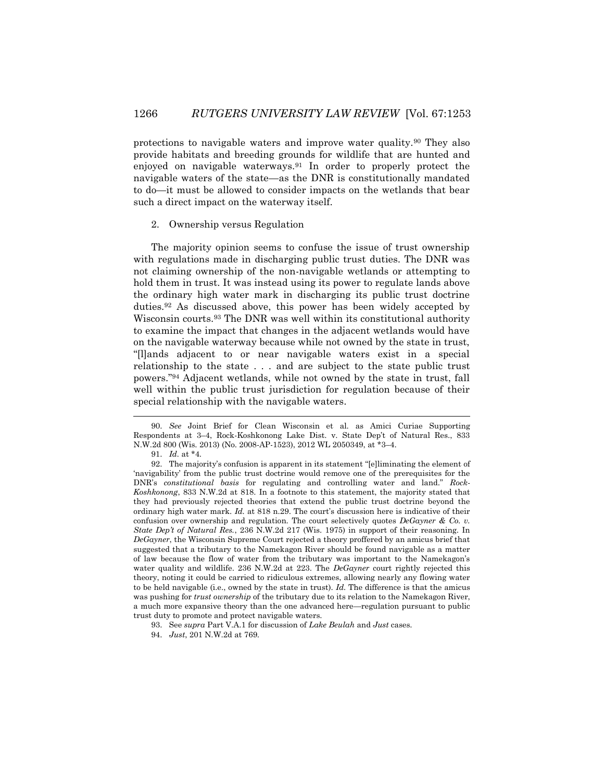protections to navigable waters and improve water quality.<sup>90</sup> They also provide habitats and breeding grounds for wildlife that are hunted and enjoyed on navigable waterways.<sup>91</sup> In order to properly protect the navigable waters of the state—as the DNR is constitutionally mandated to do—it must be allowed to consider impacts on the wetlands that bear such a direct impact on the waterway itself.

# 2. Ownership versus Regulation

The majority opinion seems to confuse the issue of trust ownership with regulations made in discharging public trust duties. The DNR was not claiming ownership of the non-navigable wetlands or attempting to hold them in trust. It was instead using its power to regulate lands above the ordinary high water mark in discharging its public trust doctrine duties.<sup>92</sup> As discussed above, this power has been widely accepted by Wisconsin courts.<sup>93</sup> The DNR was well within its constitutional authority to examine the impact that changes in the adjacent wetlands would have on the navigable waterway because while not owned by the state in trust, "[l]ands adjacent to or near navigable waters exist in a special relationship to the state . . . and are subject to the state public trust powers."<sup>94</sup> Adjacent wetlands, while not owned by the state in trust, fall well within the public trust jurisdiction for regulation because of their special relationship with the navigable waters.

 $\overline{a}$ 

93. See *supra* Part V.A.1 for discussion of *Lake Beulah* and *Just* cases.

<sup>90.</sup> *See* Joint Brief for Clean Wisconsin et al. as Amici Curiae Supporting Respondents at 3–4, Rock-Koshkonong Lake Dist. v. State Dep't of Natural Res., 833 N.W.2d 800 (Wis. 2013) (No. 2008-AP-1523), 2012 WL 2050349, at \*3–4.

<sup>91.</sup> *Id.* at \*4.

<sup>92.</sup> The majority's confusion is apparent in its statement "[e]liminating the element of 'navigability' from the public trust doctrine would remove one of the prerequisites for the DNR's *constitutional basis* for regulating and controlling water and land." *Rock-Koshkonong*, 833 N.W.2d at 818. In a footnote to this statement, the majority stated that they had previously rejected theories that extend the public trust doctrine beyond the ordinary high water mark. *Id.* at 818 n.29. The court's discussion here is indicative of their confusion over ownership and regulation. The court selectively quotes *DeGayner & Co. v. State Dep't of Natural Res.*, 236 N.W.2d 217 (Wis. 1975) in support of their reasoning. In *DeGayner*, the Wisconsin Supreme Court rejected a theory proffered by an amicus brief that suggested that a tributary to the Namekagon River should be found navigable as a matter of law because the flow of water from the tributary was important to the Namekagon's water quality and wildlife. 236 N.W.2d at 223. The *DeGayner* court rightly rejected this theory, noting it could be carried to ridiculous extremes, allowing nearly any flowing water to be held navigable (i.e., owned by the state in trust). *Id.* The difference is that the amicus was pushing for *trust ownership* of the tributary due to its relation to the Namekagon River, a much more expansive theory than the one advanced here—regulation pursuant to public trust duty to promote and protect navigable waters.

<sup>94.</sup> *Just*, 201 N.W.2d at 769.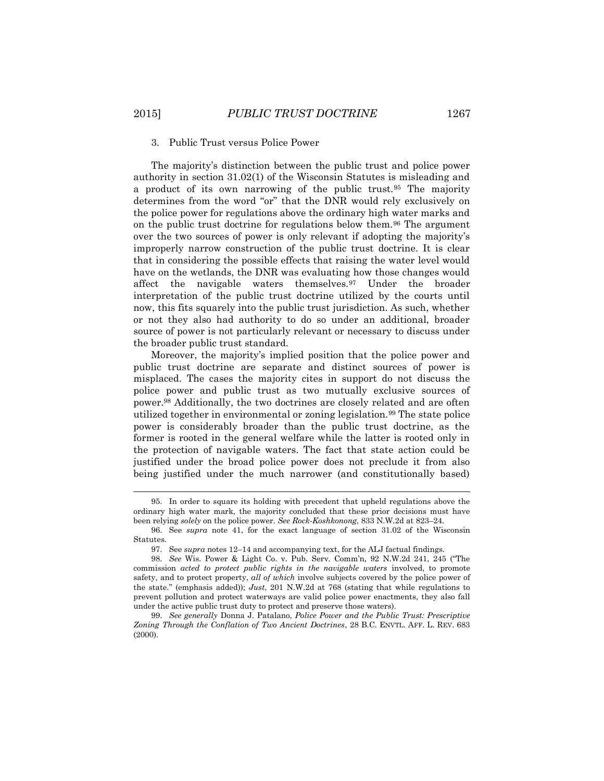#### 3. Public Trust versus Police Power

The majority's distinction between the public trust and police power authority in section 31.02(1) of the Wisconsin Statutes is misleading and a product of its own narrowing of the public trust.<sup>95</sup> The majority determines from the word "or" that the DNR would rely exclusively on the police power for regulations above the ordinary high water marks and on the public trust doctrine for regulations below them.<sup>96</sup> The argument over the two sources of power is only relevant if adopting the majority's improperly narrow construction of the public trust doctrine. It is clear that in considering the possible effects that raising the water level would have on the wetlands, the DNR was evaluating how those changes would affect the navigable waters themselves.<sup>97</sup> Under the broader interpretation of the public trust doctrine utilized by the courts until now, this fits squarely into the public trust jurisdiction. As such, whether or not they also had authority to do so under an additional, broader source of power is not particularly relevant or necessary to discuss under the broader public trust standard.

Moreover, the majority's implied position that the police power and public trust doctrine are separate and distinct sources of power is misplaced. The cases the majority cites in support do not discuss the police power and public trust as two mutually exclusive sources of power.<sup>98</sup> Additionally, the two doctrines are closely related and are often utilized together in environmental or zoning legislation.<sup>99</sup> The state police power is considerably broader than the public trust doctrine, as the former is rooted in the general welfare while the latter is rooted only in the protection of navigable waters. The fact that state action could be justified under the broad police power does not preclude it from also being justified under the much narrower (and constitutionally based)

<sup>95.</sup> In order to square its holding with precedent that upheld regulations above the ordinary high water mark, the majority concluded that these prior decisions must have been relying *solely* on the police power. *See Rock-Koshkonong*, 833 N.W.2d at 823–24.

<sup>96.</sup> See *supra* note 41, for the exact language of section 31.02 of the Wisconsin Statutes.

<sup>97.</sup> See *supra* notes 12–14 and accompanying text, for the ALJ factual findings.

<sup>98.</sup> *See* Wis. Power & Light Co. v. Pub. Serv. Comm'n, 92 N.W.2d 241, 245 ("The commission *acted to protect public rights in the navigable waters* involved, to promote safety, and to protect property, *all of which* involve subjects covered by the police power of the state." (emphasis added)); *Just*, 201 N.W.2d at 768 (stating that while regulations to prevent pollution and protect waterways are valid police power enactments, they also fall under the active public trust duty to protect and preserve those waters).

<sup>99.</sup> *See generally* Donna J. Patalano, *Police Power and the Public Trust: Prescriptive Zoning Through the Conflation of Two Ancient Doctrines*, 28 B.C. ENVTL. AFF. L. REV. 683 (2000).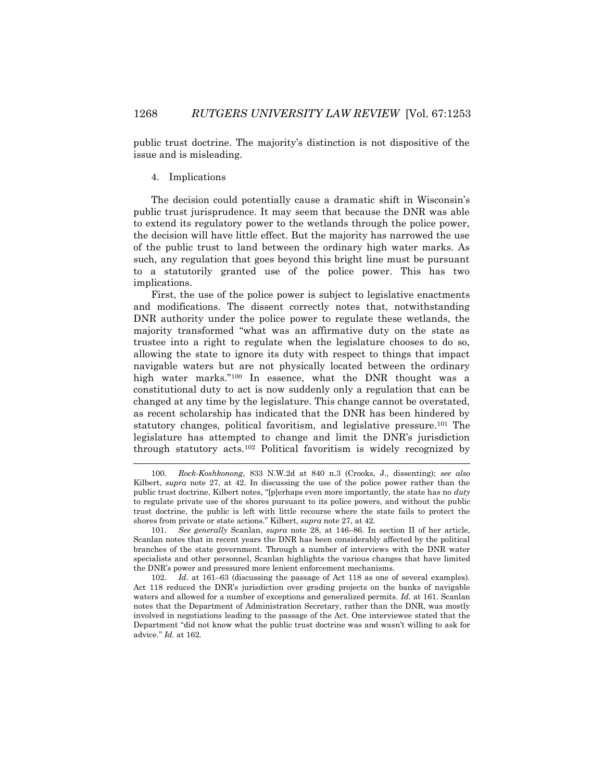public trust doctrine. The majority's distinction is not dispositive of the issue and is misleading.

# 4. Implications

 $\overline{a}$ 

The decision could potentially cause a dramatic shift in Wisconsin's public trust jurisprudence. It may seem that because the DNR was able to extend its regulatory power to the wetlands through the police power, the decision will have little effect. But the majority has narrowed the use of the public trust to land between the ordinary high water marks. As such, any regulation that goes beyond this bright line must be pursuant to a statutorily granted use of the police power. This has two implications.

First, the use of the police power is subject to legislative enactments and modifications. The dissent correctly notes that, notwithstanding DNR authority under the police power to regulate these wetlands, the majority transformed "what was an affirmative duty on the state as trustee into a right to regulate when the legislature chooses to do so, allowing the state to ignore its duty with respect to things that impact navigable waters but are not physically located between the ordinary high water marks."<sup>100</sup> In essence, what the DNR thought was a constitutional duty to act is now suddenly only a regulation that can be changed at any time by the legislature. This change cannot be overstated, as recent scholarship has indicated that the DNR has been hindered by statutory changes, political favoritism, and legislative pressure.<sup>101</sup> The legislature has attempted to change and limit the DNR's jurisdiction through statutory acts.<sup>102</sup> Political favoritism is widely recognized by

<sup>100.</sup> *Rock-Koshkonong*, 833 N.W.2d at 840 n.3 (Crooks, J., dissenting); *see also* Kilbert, *supra* note 27, at 42. In discussing the use of the police power rather than the public trust doctrine, Kilbert notes, "[p]erhaps even more importantly, the state has no *duty*  to regulate private use of the shores pursuant to its police powers, and without the public trust doctrine, the public is left with little recourse where the state fails to protect the shores from private or state actions." Kilbert, *supra* note 27, at 42.

<sup>101.</sup> *See generally* Scanlan, *supra* note 28, at 146–86. In section II of her article, Scanlan notes that in recent years the DNR has been considerably affected by the political branches of the state government. Through a number of interviews with the DNR water specialists and other personnel, Scanlan highlights the various changes that have limited the DNR's power and pressured more lenient enforcement mechanisms.

<sup>102.</sup> *Id.* at 161–63 (discussing the passage of Act 118 as one of several examples). Act 118 reduced the DNR's jurisdiction over grading projects on the banks of navigable waters and allowed for a number of exceptions and generalized permits. *Id.* at 161. Scanlan notes that the Department of Administration Secretary, rather than the DNR, was mostly involved in negotiations leading to the passage of the Act. One interviewee stated that the Department "did not know what the public trust doctrine was and wasn't willing to ask for advice." *Id.* at 162.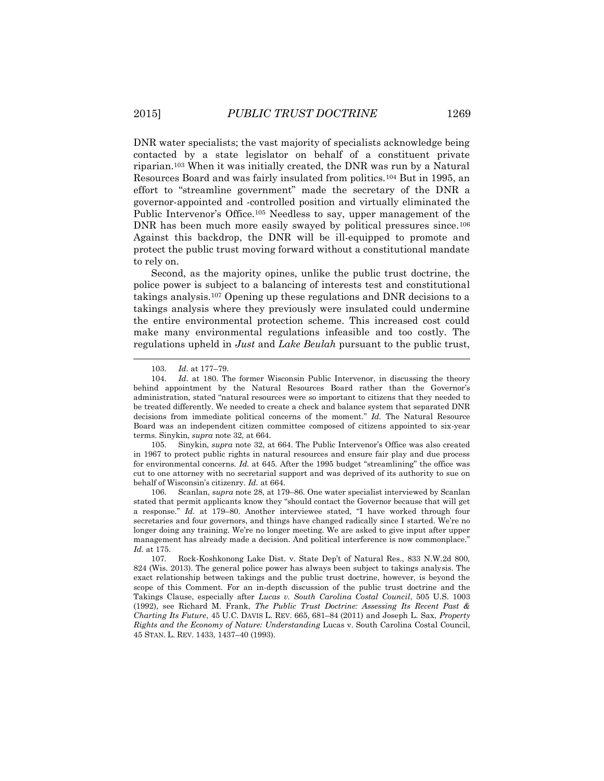DNR water specialists; the vast majority of specialists acknowledge being contacted by a state legislator on behalf of a constituent private riparian.<sup>103</sup> When it was initially created, the DNR was run by a Natural Resources Board and was fairly insulated from politics.<sup>104</sup> But in 1995, an effort to "streamline government" made the secretary of the DNR a governor-appointed and -controlled position and virtually eliminated the Public Intervenor's Office.<sup>105</sup> Needless to say, upper management of the DNR has been much more easily swayed by political pressures since.<sup>106</sup> Against this backdrop, the DNR will be ill-equipped to promote and protect the public trust moving forward without a constitutional mandate to rely on.

Second, as the majority opines, unlike the public trust doctrine, the police power is subject to a balancing of interests test and constitutional takings analysis.<sup>107</sup> Opening up these regulations and DNR decisions to a takings analysis where they previously were insulated could undermine the entire environmental protection scheme. This increased cost could make many environmental regulations infeasible and too costly. The regulations upheld in *Just* and *Lake Beulah* pursuant to the public trust,

 $\overline{a}$ 

105. Sinykin, *supra* note 32, at 664. The Public Intervenor's Office was also created in 1967 to protect public rights in natural resources and ensure fair play and due process for environmental concerns. *Id.* at 645. After the 1995 budget "streamlining" the office was cut to one attorney with no secretarial support and was deprived of its authority to sue on behalf of Wisconsin's citizenry. *Id.* at 664.

106. Scanlan, s*upra* note 28, at 179–86. One water specialist interviewed by Scanlan stated that permit applicants know they "should contact the Governor because that will get a response." *Id.* at 179–80. Another interviewee stated, "I have worked through four secretaries and four governors, and things have changed radically since I started. We're no longer doing any training. We're no longer meeting. We are asked to give input after upper management has already made a decision. And political interference is now commonplace." *Id.* at 175.

107. Rock-Koshkonong Lake Dist. v. State Dep't of Natural Res., 833 N.W.2d 800, 824 (Wis. 2013). The general police power has always been subject to takings analysis. The exact relationship between takings and the public trust doctrine, however, is beyond the scope of this Comment. For an in-depth discussion of the public trust doctrine and the Takings Clause, especially after *Lucas v. South Carolina Costal Council*, 505 U.S. 1003 (1992), see Richard M. Frank, *The Public Trust Doctrine: Assessing Its Recent Past & Charting Its Future*, 45 U.C. DAVIS L. REV. 665, 681–84 (2011) and Joseph L. Sax, *Property Rights and the Economy of Nature: Understanding* Lucas v. South Carolina Costal Council, 45 STAN. L. REV. 1433, 1437–40 (1993).

<sup>103.</sup> *Id.* at 177–79.

<sup>104.</sup> *Id.* at 180. The former Wisconsin Public Intervenor, in discussing the theory behind appointment by the Natural Resources Board rather than the Governor's administration, stated "natural resources were so important to citizens that they needed to be treated differently. We needed to create a check and balance system that separated DNR decisions from immediate political concerns of the moment." *Id.* The Natural Resource Board was an independent citizen committee composed of citizens appointed to six-year terms. Sinykin, *supra* note 32, at 664.